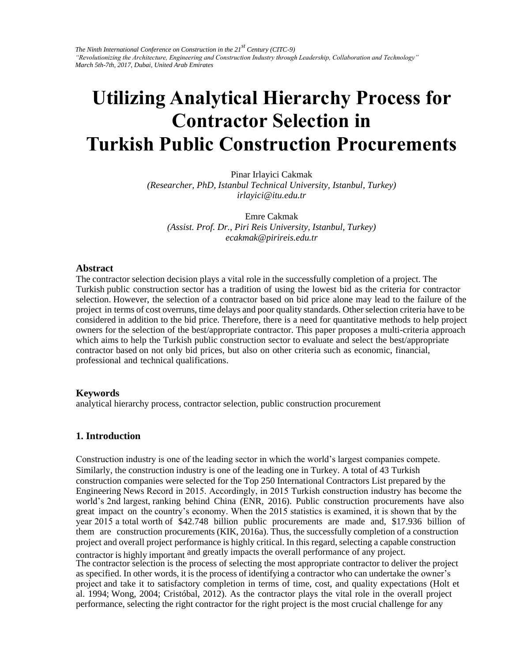# **Utilizing Analytical Hierarchy Process for Contractor Selection in Turkish Public Construction Procurements**

Pinar Irlayici Cakmak *(Researcher, PhD, Istanbul Technical University, Istanbul, Turkey) irlayici@itu.edu.tr* 

Emre Cakmak *(Assist. Prof. Dr., Piri Reis University, Istanbul, Turkey) ecakmak@pirireis.edu.tr* 

### **Abstract**

The contractor selection decision plays a vital role in the successfully completion of a project. The Turkish public construction sector has a tradition of using the lowest bid as the criteria for contractor selection. However, the selection of a contractor based on bid price alone may lead to the failure of the project in terms of cost overruns, time delays and poor quality standards. Other selection criteria have to be considered in addition to the bid price. Therefore, there is a need for quantitative methods to help project owners for the selection of the best/appropriate contractor. This paper proposes a multi-criteria approach which aims to help the Turkish public construction sector to evaluate and select the best/appropriate contractor based on not only bid prices, but also on other criteria such as economic, financial, professional and technical qualifications.

### **Keywords**

analytical hierarchy process, contractor selection, public construction procurement

### **1. Introduction**

Construction industry is one of the leading sector in which the world's largest companies compete. Similarly, the construction industry is one of the leading one in Turkey. A total of 43 Turkish construction companies were selected for the Top 250 International Contractors List prepared by the Engineering News Record in 2015. Accordingly, in 2015 Turkish construction industry has become the world's 2nd largest, ranking behind China (ENR, 2016). Public construction procurements have also great impact on the country's economy. When the 2015 statistics is examined, it is shown that by the year 2015 a total worth of \$42.748 billion public procurements are made and, \$17.936 billion of them are construction procurements (KIK, 2016a). Thus, the successfully completion of a construction project and overall project performance is highly critical. In this regard, selecting a capable construction contractor is highly important and greatly impacts the overall performance of any project.

The contractor selection is the process of selecting the most appropriate contractor to deliver the project as specified. In other words, it is the process of identifying a contractor who can undertake the owner's project and take it to satisfactory completion in terms of time, cost, and quality expectations (Holt et al. 1994; Wong, 2004; Cristóbal, 2012). As the contractor plays the vital role in the overall project performance, selecting the right contractor for the right project is the most crucial challenge for any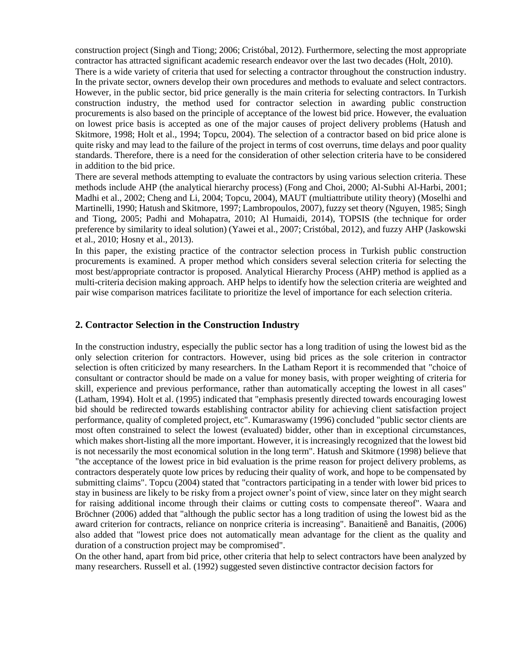construction project (Singh and Tiong; 2006; Cristóbal, 2012). Furthermore, selecting the most appropriate contractor has attracted significant academic research endeavor over the last two decades (Holt, 2010).

There is a wide variety of criteria that used for selecting a contractor throughout the construction industry. In the private sector, owners develop their own procedures and methods to evaluate and select contractors. However, in the public sector, bid price generally is the main criteria for selecting contractors. In Turkish construction industry, the method used for contractor selection in awarding public construction procurements is also based on the principle of acceptance of the lowest bid price. However, the evaluation on lowest price basis is accepted as one of the major causes of project delivery problems (Hatush and Skitmore, 1998; Holt et al., 1994; Topcu, 2004). The selection of a contractor based on bid price alone is quite risky and may lead to the failure of the project in terms of cost overruns, time delays and poor quality standards. Therefore, there is a need for the consideration of other selection criteria have to be considered in addition to the bid price.

There are several methods attempting to evaluate the contractors by using various selection criteria. These methods include AHP (the analytical hierarchy process) (Fong and Choi, 2000; Al-Subhi Al-Harbi, 2001; Madhi et al., 2002; Cheng and Li, 2004; Topcu, 2004), MAUT (multiattribute utility theory) (Moselhi and Martinelli, 1990; Hatush and Skitmore, 1997; Lambropoulos, 2007), fuzzy set theory (Nguyen, 1985; Singh and Tiong, 2005; Padhi and Mohapatra, 2010; Al Humaidi, 2014), TOPSIS (the technique for order preference by similarity to ideal solution) (Yawei et al., 2007; Cristóbal, 2012), and fuzzy AHP (Jaskowski et al., 2010; Hosny et al., 2013).

In this paper, the existing practice of the contractor selection process in Turkish public construction procurements is examined. A proper method which considers several selection criteria for selecting the most best/appropriate contractor is proposed. Analytical Hierarchy Process (AHP) method is applied as a multi-criteria decision making approach. AHP helps to identify how the selection criteria are weighted and pair wise comparison matrices facilitate to prioritize the level of importance for each selection criteria.

### **2. Contractor Selection in the Construction Industry**

In the construction industry, especially the public sector has a long tradition of using the lowest bid as the only selection criterion for contractors. However, using bid prices as the sole criterion in contractor selection is often criticized by many researchers. In the Latham Report it is recommended that "choice of consultant or contractor should be made on a value for money basis, with proper weighting of criteria for skill, experience and previous performance, rather than automatically accepting the lowest in all cases" (Latham, 1994). Holt et al. (1995) indicated that "emphasis presently directed towards encouraging lowest bid should be redirected towards establishing contractor ability for achieving client satisfaction project performance, quality of completed project, etc". Kumaraswamy (1996) concluded "public sector clients are most often constrained to select the lowest (evaluated) bidder, other than in exceptional circumstances, which makes short-listing all the more important. However, it is increasingly recognized that the lowest bid is not necessarily the most economical solution in the long term". Hatush and Skitmore (1998) believe that "the acceptance of the lowest price in bid evaluation is the prime reason for project delivery problems, as contractors desperately quote low prices by reducing their quality of work, and hope to be compensated by submitting claims". Topcu (2004) stated that "contractors participating in a tender with lower bid prices to stay in business are likely to be risky from a project owner's point of view, since later on they might search for raising additional income through their claims or cutting costs to compensate thereof". Waara and Bröchner (2006) added that "although the public sector has a long tradition of using the lowest bid as the award criterion for contracts, reliance on nonprice criteria is increasing". Banaitienê and Banaitis, (2006) also added that "lowest price does not automatically mean advantage for the client as the quality and duration of a construction project may be compromised".

On the other hand, apart from bid price, other criteria that help to select contractors have been analyzed by many researchers. Russell et al. (1992) suggested seven distinctive contractor decision factors for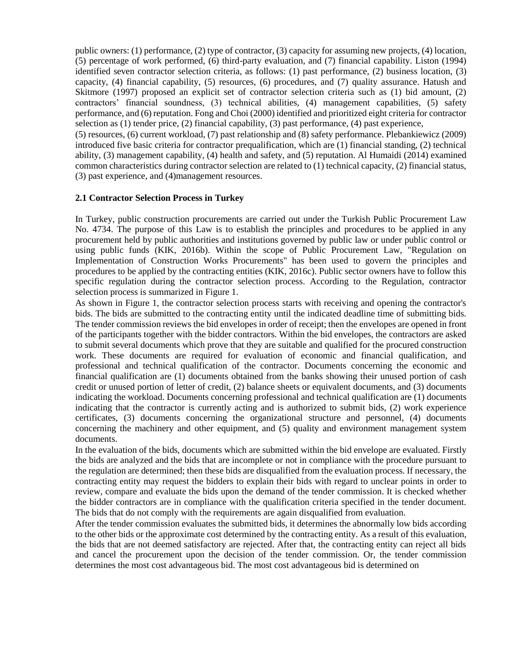public owners: (1) performance, (2) type of contractor, (3) capacity for assuming new projects, (4) location, (5) percentage of work performed, (6) third-party evaluation, and (7) financial capability. Liston (1994) identified seven contractor selection criteria, as follows: (1) past performance, (2) business location, (3) capacity, (4) financial capability, (5) resources, (6) procedures, and (7) quality assurance. Hatush and Skitmore (1997) proposed an explicit set of contractor selection criteria such as (1) bid amount, (2) contractors' financial soundness, (3) technical abilities, (4) management capabilities, (5) safety performance, and (6) reputation. Fong and Choi (2000) identified and prioritized eight criteria for contractor selection as (1) tender price, (2) financial capability, (3) past performance, (4) past experience,

(5) resources, (6) current workload, (7) past relationship and (8) safety performance. Plebankiewicz (2009) introduced five basic criteria for contractor prequalification, which are (1) financial standing, (2) technical ability, (3) management capability, (4) health and safety, and (5) reputation. Al Humaidi (2014) examined common characteristics during contractor selection are related to (1) technical capacity, (2) financial status, (3) past experience, and (4)management resources.

### **2.1 Contractor Selection Process in Turkey**

In Turkey, public construction procurements are carried out under the Turkish Public Procurement Law No. 4734. The purpose of this Law is to establish the principles and procedures to be applied in any procurement held by public authorities and institutions governed by public law or under public control or using public funds (KIK, 2016b). Within the scope of Public Procurement Law, "Regulation on Implementation of Construction Works Procurements" has been used to govern the principles and procedures to be applied by the contracting entities (KIK, 2016c). Public sector owners have to follow this specific regulation during the contractor selection process. According to the Regulation, contractor selection process is summarized in Figure 1.

As shown in Figure 1, the contractor selection process starts with receiving and opening the contractor's bids. The bids are submitted to the contracting entity until the indicated deadline time of submitting bids. The tender commission reviews the bid envelopes in order of receipt; then the envelopes are opened in front of the participants together with the bidder contractors. Within the bid envelopes, the contractors are asked to submit several documents which prove that they are suitable and qualified for the procured construction work. These documents are required for evaluation of economic and financial qualification, and professional and technical qualification of the contractor. Documents concerning the economic and financial qualification are (1) documents obtained from the banks showing their unused portion of cash credit or unused portion of letter of credit, (2) balance sheets or equivalent documents, and (3) documents indicating the workload. Documents concerning professional and technical qualification are (1) documents indicating that the contractor is currently acting and is authorized to submit bids, (2) work experience certificates, (3) documents concerning the organizational structure and personnel, (4) documents concerning the machinery and other equipment, and (5) quality and environment management system documents.

In the evaluation of the bids, documents which are submitted within the bid envelope are evaluated. Firstly the bids are analyzed and the bids that are incomplete or not in compliance with the procedure pursuant to the regulation are determined; then these bids are disqualified from the evaluation process. If necessary, the contracting entity may request the bidders to explain their bids with regard to unclear points in order to review, compare and evaluate the bids upon the demand of the tender commission. It is checked whether the bidder contractors are in compliance with the qualification criteria specified in the tender document. The bids that do not comply with the requirements are again disqualified from evaluation.

After the tender commission evaluates the submitted bids, it determines the abnormally low bids according to the other bids or the approximate cost determined by the contracting entity. As a result of this evaluation, the bids that are not deemed satisfactory are rejected. After that, the contracting entity can reject all bids and cancel the procurement upon the decision of the tender commission. Or, the tender commission determines the most cost advantageous bid. The most cost advantageous bid is determined on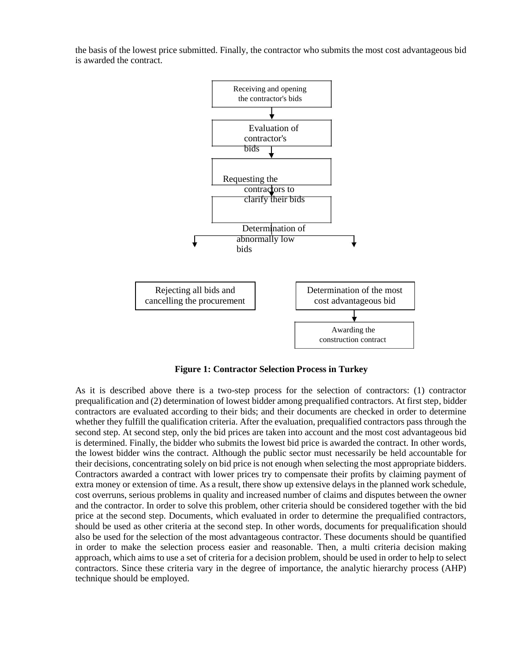the basis of the lowest price submitted. Finally, the contractor who submits the most cost advantageous bid is awarded the contract.



**Figure 1: Contractor Selection Process in Turkey**

As it is described above there is a two-step process for the selection of contractors: (1) contractor prequalification and (2) determination of lowest bidder among prequalified contractors. At first step, bidder contractors are evaluated according to their bids; and their documents are checked in order to determine whether they fulfill the qualification criteria. After the evaluation, prequalified contractors pass through the second step. At second step, only the bid prices are taken into account and the most cost advantageous bid is determined. Finally, the bidder who submits the lowest bid price is awarded the contract. In other words, the lowest bidder wins the contract. Although the public sector must necessarily be held accountable for their decisions, concentrating solely on bid price is not enough when selecting the most appropriate bidders. Contractors awarded a contract with lower prices try to compensate their profits by claiming payment of extra money or extension of time. As a result, there show up extensive delays in the planned work schedule, cost overruns, serious problems in quality and increased number of claims and disputes between the owner and the contractor. In order to solve this problem, other criteria should be considered together with the bid price at the second step. Documents, which evaluated in order to determine the prequalified contractors, should be used as other criteria at the second step. In other words, documents for prequalification should also be used for the selection of the most advantageous contractor. These documents should be quantified in order to make the selection process easier and reasonable. Then, a multi criteria decision making approach, which aims to use a set of criteria for a decision problem, should be used in order to help to select contractors. Since these criteria vary in the degree of importance, the analytic hierarchy process (AHP) technique should be employed.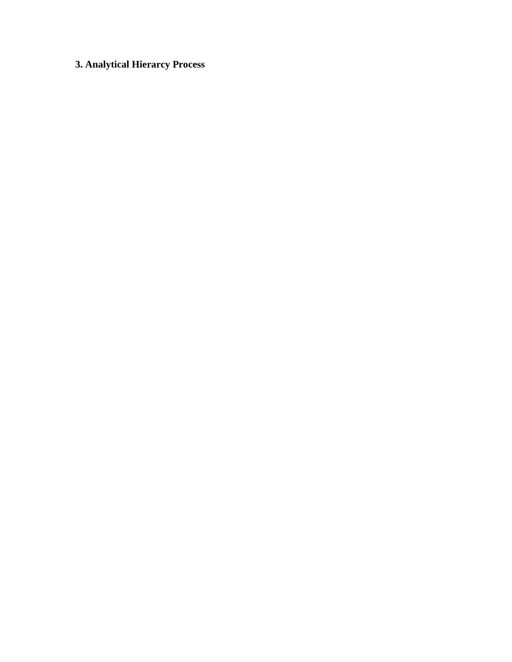## **3. Analytical Hierarcy Process**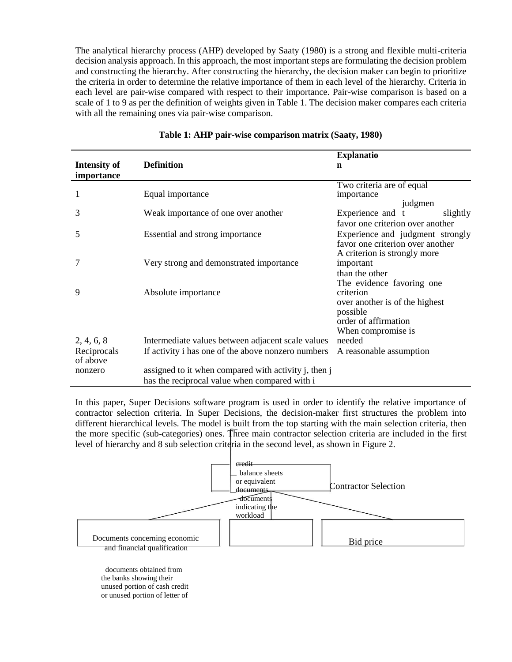The analytical hierarchy process (AHP) developed by Saaty (1980) is a strong and flexible multi-criteria decision analysis approach. In this approach, the most important steps are formulating the decision problem and constructing the hierarchy. After constructing the hierarchy, the decision maker can begin to prioritize the criteria in order to determine the relative importance of them in each level of the hierarchy. Criteria in each level are pair-wise compared with respect to their importance. Pair-wise comparison is based on a scale of 1 to 9 as per the definition of weights given in Table 1. The decision maker compares each criteria with all the remaining ones via pair-wise comparison.

|                                   |                                                      | <b>Explanatio</b>                                                                                                                  |
|-----------------------------------|------------------------------------------------------|------------------------------------------------------------------------------------------------------------------------------------|
| <b>Intensity of</b><br>importance | <b>Definition</b>                                    | n                                                                                                                                  |
| 1                                 | Equal importance                                     | Two criteria are of equal<br>importance<br>judgmen                                                                                 |
| 3                                 | Weak importance of one over another                  | Experience and<br>slightly<br>favor one criterion over another                                                                     |
| 5                                 | Essential and strong importance                      | Experience and judgment strongly<br>favor one criterion over another                                                               |
| 7                                 | Very strong and demonstrated importance              | A criterion is strongly more<br>important<br>than the other                                                                        |
| 9                                 | Absolute importance                                  | The evidence favoring one<br>criterion<br>over another is of the highest<br>possible<br>order of affirmation<br>When compromise is |
| 2, 4, 6, 8                        | Intermediate values between adjacent scale values    | needed                                                                                                                             |
| Reciprocals<br>of above           | If activity i has one of the above nonzero numbers   | A reasonable assumption                                                                                                            |
| nonzero                           | assigned to it when compared with activity j, then j |                                                                                                                                    |
|                                   | has the reciprocal value when compared with i        |                                                                                                                                    |

### **Table 1: AHP pair-wise comparison matrix (Saaty, 1980)**

In this paper, Super Decisions software program is used in order to identify the relative importance of contractor selection criteria. In Super Decisions, the decision-maker first structures the problem into different hierarchical levels. The model is built from the top starting with the main selection criteria, then the more specific (sub-categories) ones. Three main contractor selection criteria are included in the first level of hierarchy and 8 sub selection criteria in the second level, as shown in Figure 2.



the banks showing their unused portion of cash credit or unused portion of letter of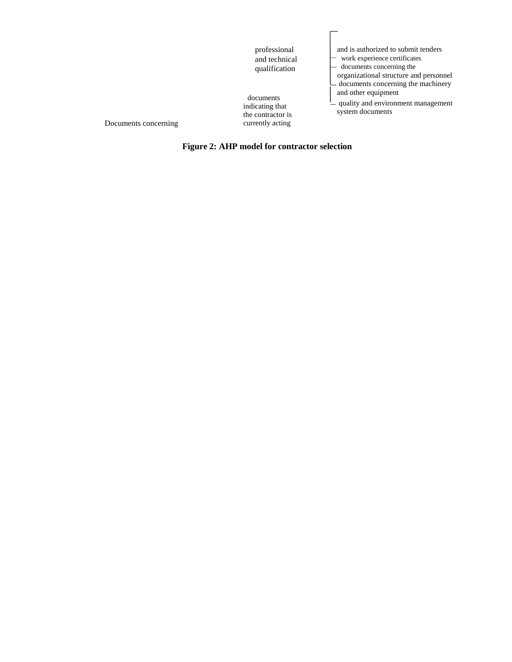| professional<br>and technical<br>qualification<br>documents<br>indicating that<br>the contractor is<br>currently acting | and is authorized to submit tenders<br>work experience certificates<br>documents concerning the<br>organizational structure and personnel<br>- documents concerning the machinery<br>and other equipment<br>$\frac{1}{2}$ quality and environment management<br>system documents |
|-------------------------------------------------------------------------------------------------------------------------|----------------------------------------------------------------------------------------------------------------------------------------------------------------------------------------------------------------------------------------------------------------------------------|
|-------------------------------------------------------------------------------------------------------------------------|----------------------------------------------------------------------------------------------------------------------------------------------------------------------------------------------------------------------------------------------------------------------------------|

 $\overline{a}$ 

Documents concerning

**Figure 2: AHP model for contractor selection**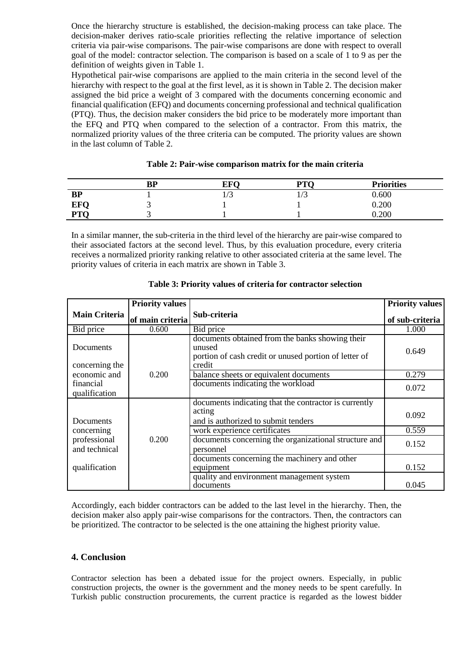Once the hierarchy structure is established, the decision-making process can take place. The decision-maker derives ratio-scale priorities reflecting the relative importance of selection criteria via pair-wise comparisons. The pair-wise comparisons are done with respect to overall goal of the model: contractor selection. The comparison is based on a scale of 1 to 9 as per the definition of weights given in Table 1.

Hypothetical pair-wise comparisons are applied to the main criteria in the second level of the hierarchy with respect to the goal at the first level, as it is shown in Table 2. The decision maker assigned the bid price a weight of 3 compared with the documents concerning economic and financial qualification (EFQ) and documents concerning professional and technical qualification (PTQ). Thus, the decision maker considers the bid price to be moderately more important than the EFQ and PTQ when compared to the selection of a contractor. From this matrix, the normalized priority values of the three criteria can be computed. The priority values are shown in the last column of Table 2.

|            | <b>BP</b> | <b>EFO</b> | $\mathbf{D} \mathbf{T} \mathbf{C}$<br>. . | <b>Priorities</b> |
|------------|-----------|------------|-------------------------------------------|-------------------|
| <b>BP</b>  |           | 17 J       | <u>ب</u>                                  | 0.600             |
| <b>EFQ</b> |           |            |                                           | 0.200             |
| <b>PTO</b> |           |            |                                           | 0.200             |

### **Table 2: Pair-wise comparison matrix for the main criteria**

In a similar manner, the sub-criteria in the third level of the hierarchy are pair-wise compared to their associated factors at the second level. Thus, by this evaluation procedure, every criteria receives a normalized priority ranking relative to other associated criteria at the same level. The priority values of criteria in each matrix are shown in Table 3.

|                               | <b>Priority values</b> |                                                                                                                              | <b>Priority values</b> |
|-------------------------------|------------------------|------------------------------------------------------------------------------------------------------------------------------|------------------------|
| <b>Main Criteria</b>          | of main criteria       | Sub-criteria                                                                                                                 | of sub-criteria        |
| Bid price                     | 0.600                  | Bid price                                                                                                                    | 1.000                  |
| Documents<br>concerning the   |                        | documents obtained from the banks showing their<br>unused<br>portion of cash credit or unused portion of letter of<br>credit | 0.649                  |
| economic and                  | 0.200                  | balance sheets or equivalent documents                                                                                       | 0.279                  |
| financial<br>qualification    |                        | documents indicating the workload                                                                                            | 0.072                  |
| Documents                     |                        | documents indicating that the contractor is currently<br>acting<br>and is authorized to submit tenders                       | 0.092                  |
| concerning                    |                        | work experience certificates                                                                                                 | 0.559                  |
| professional<br>and technical | 0.200                  | documents concerning the organizational structure and<br>personnel                                                           | 0.152                  |
| qualification                 |                        | documents concerning the machinery and other<br>equipment                                                                    | 0.152                  |
|                               |                        | quality and environment management system<br>documents                                                                       | 0.045                  |

### **Table 3: Priority values of criteria for contractor selection**

Accordingly, each bidder contractors can be added to the last level in the hierarchy. Then, the decision maker also apply pair-wise comparisons for the contractors. Then, the contractors can be prioritized. The contractor to be selected is the one attaining the highest priority value.

### **4. Conclusion**

Contractor selection has been a debated issue for the project owners. Especially, in public construction projects, the owner is the government and the money needs to be spent carefully. In Turkish public construction procurements, the current practice is regarded as the lowest bidder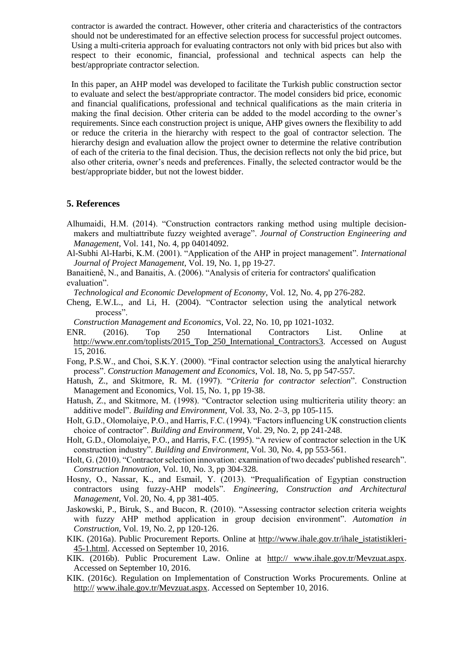contractor is awarded the contract. However, other criteria and characteristics of the contractors should not be underestimated for an effective selection process for successful project outcomes. Using a multi-criteria approach for evaluating contractors not only with bid prices but also with respect to their economic, financial, professional and technical aspects can help the best/appropriate contractor selection.

In this paper, an AHP model was developed to facilitate the Turkish public construction sector to evaluate and select the best/appropriate contractor. The model considers bid price, economic and financial qualifications, professional and technical qualifications as the main criteria in making the final decision. Other criteria can be added to the model according to the owner's requirements. Since each construction project is unique, AHP gives owners the flexibility to add or reduce the criteria in the hierarchy with respect to the goal of contractor selection. The hierarchy design and evaluation allow the project owner to determine the relative contribution of each of the criteria to the final decision. Thus, the decision reflects not only the bid price, but also other criteria, owner's needs and preferences. Finally, the selected contractor would be the best/appropriate bidder, but not the lowest bidder.

### **5. References**

- Alhumaidi, H.M. (2014). "Construction contractors ranking method using multiple decisionmakers and multiattribute fuzzy weighted average". *Journal of Construction Engineering and Management*, Vol. 141, No. 4, pp 04014092.
- Al-Subhi Al-Harbi, K.M. (2001). "Application of the AHP in project management". *International Journal of Project Management*, Vol. 19, No. 1, pp 19-27.
- Banaitienê, N., and Banaitis, A. (2006). "Analysis of criteria for contractors' qualification evaluation".
- *Technological and Economic Development of Economy*, Vol. 12, No. 4, pp 276-282.
- Cheng, E.W.L., and Li, H. (2004). "Contractor selection using the analytical network process".
- *Construction Management and Economics*, Vol. 22, No. 10, pp 1021-1032.
- ENR. (2016). Top 250 International Contractors List. Online at http://www.enr.com/toplists/2015\_Top\_250\_International\_Contractors3. Accessed on August 15, 2016.
- Fong, P.S.W., and Choi, S.K.Y. (2000). "Final contractor selection using the analytical hierarchy process". *Construction Management and Economics*, Vol. 18, No. 5, pp 547-557.
- Hatush, Z., and Skitmore, R. M. (1997). "*Criteria for contractor selection*". Construction Management and Economics, Vol. 15, No. 1, pp 19-38.
- Hatush, Z., and Skitmore, M. (1998). "Contractor selection using multicriteria utility theory: an additive model". *Building and Environment*, Vol. 33, No. 2–3, pp 105-115.
- Holt, G.D., Olomolaiye, P.O., and Harris, F.C. (1994). "Factors influencing UK construction clients choice of contractor". *Building and Environment*, Vol. 29, No. 2, pp 241-248.
- Holt, G.D., Olomolaiye, P.O., and Harris, F.C. (1995). "A review of contractor selection in the UK construction industry". *Building and Environment*, Vol. 30, No. 4, pp 553-561.
- Holt, G. (2010). "Contractor selection innovation: examination of two decades' published research". *Construction Innovation*, Vol. 10, No. 3, pp 304-328.
- Hosny, O., Nassar, K., and Esmail, Y. (2013). "Prequalification of Egyptian construction contractors using fuzzy-AHP models". *Engineering, Construction and Architectural Management*, Vol. 20, No. 4, pp 381-405.
- Jaskowski, P., Biruk, S., and Bucon, R. (2010). "Assessing contractor selection criteria weights with fuzzy AHP method application in group decision environment". *Automation in Construction*, Vol. 19, No. 2, pp 120-126.
- KIK. (2016a). Public Procurement Reports. Online at http://www.ihale.gov.tr/ihale\_istatistikleri-45-1.html. Accessed on September 10, 2016.
- KIK. (2016b). Public Procurement Law. Online at http:// www.ihale.gov.tr/Mevzuat.aspx. Accessed on September 10, 2016.
- KIK. (2016c). Regulation on Implementation of Construction Works Procurements. Online at http:// www.ihale.gov.tr/Mevzuat.aspx. Accessed on September 10, 2016.